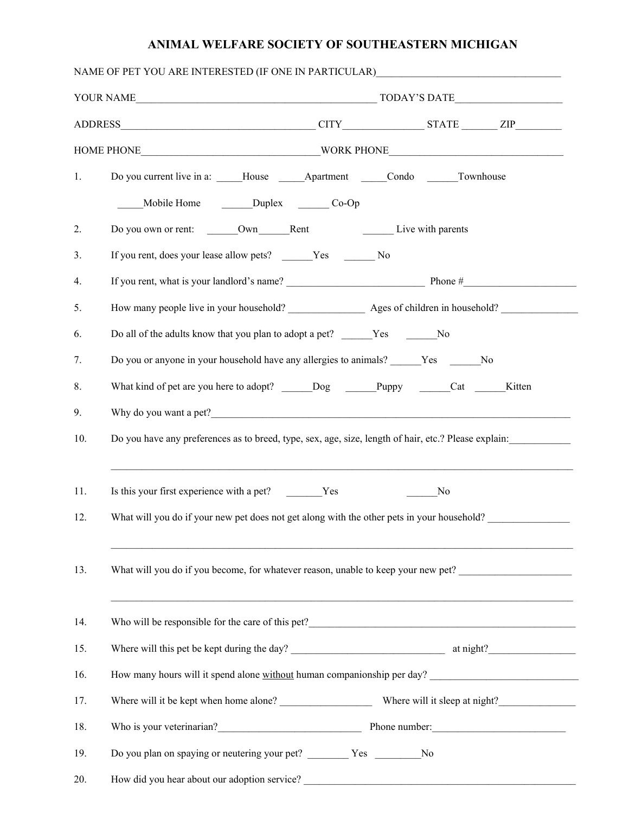## **ANIMAL WELFARE SOCIETY OF SOUTHEASTERN MICHIGAN**

|     | NAME OF PET YOU ARE INTERESTED (IF ONE IN PARTICULAR)____________________________                    |  |  |        |  |  |
|-----|------------------------------------------------------------------------------------------------------|--|--|--------|--|--|
|     |                                                                                                      |  |  |        |  |  |
|     |                                                                                                      |  |  |        |  |  |
|     |                                                                                                      |  |  |        |  |  |
| 1.  | Do you current live in a: _____House _______Apartment ______Condo _______Townhouse                   |  |  |        |  |  |
|     | Mobile Home Duplex Co-Op                                                                             |  |  |        |  |  |
| 2.  |                                                                                                      |  |  |        |  |  |
| 3.  | If you rent, does your lease allow pets? ______Yes _______No                                         |  |  |        |  |  |
| 4.  |                                                                                                      |  |  |        |  |  |
| 5.  | How many people live in your household? Ages of children in household?                               |  |  |        |  |  |
| 6.  | Do all of the adults know that you plan to adopt a pet? ______Yes _________No                        |  |  |        |  |  |
| 7.  | Do you or anyone in your household have any allergies to animals? Ves No                             |  |  |        |  |  |
| 8.  | What kind of pet are you here to adopt? ______Dog _______Puppy ______Cat ______                      |  |  | Kitten |  |  |
| 9.  | Why do you want a pet?                                                                               |  |  |        |  |  |
| 10. | Do you have any preferences as to breed, type, sex, age, size, length of hair, etc.? Please explain: |  |  |        |  |  |
| 11. |                                                                                                      |  |  |        |  |  |
| 12. | Is this your first experience with a pet? Yes<br>No                                                  |  |  |        |  |  |
|     | What will you do if your new pet does not get along with the other pets in your household?           |  |  |        |  |  |
| 13. | What will you do if you become, for whatever reason, unable to keep your new pet?                    |  |  |        |  |  |
| 14. |                                                                                                      |  |  |        |  |  |
| 15. |                                                                                                      |  |  |        |  |  |
| 16. | How many hours will it spend alone without human companionship per day?                              |  |  |        |  |  |
| 17. |                                                                                                      |  |  |        |  |  |
| 18. | Who is your veterinarian?<br>Phone number:                                                           |  |  |        |  |  |
| 19. | Do you plan on spaying or neutering your pet? __________ Yes ___________No                           |  |  |        |  |  |
| 20. | How did you hear about our adoption service?                                                         |  |  |        |  |  |